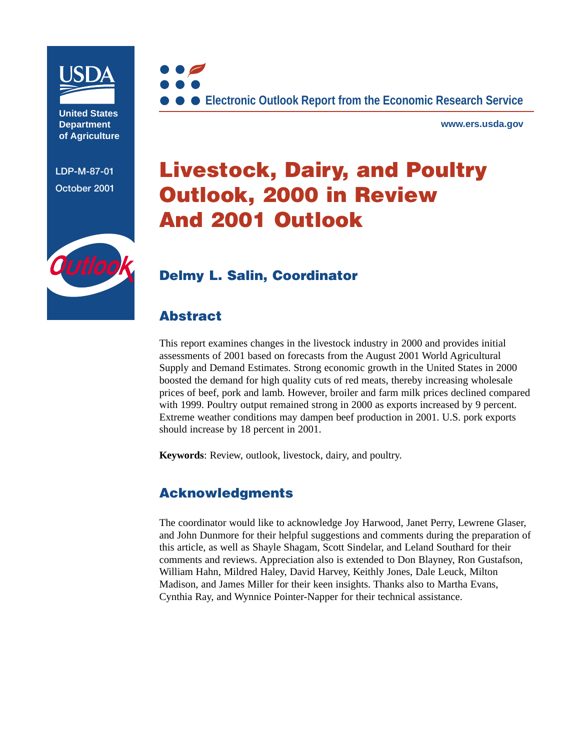

**United States Department of Agriculture**

**LDP-M-87-01 October 2001**



**www.ers.usda.gov**

# **Livestock, Dairy, and Poultry Outlook, 2000 in Review And 2001 Outlook**



# **[Delmy L. Salin](mailto:dsalin@ers.usda.gov), Coordinator**

# **Abstract**

This report examines changes in the livestock industry in 2000 and provides initial assessments of 2001 based on forecasts from the August 2001 World Agricultural Supply and Demand Estimates. Strong economic growth in the United States in 2000 boosted the demand for high quality cuts of red meats, thereby increasing wholesale prices of beef, pork and lamb. However, broiler and farm milk prices declined compared with 1999. Poultry output remained strong in 2000 as exports increased by 9 percent. Extreme weather conditions may dampen beef production in 2001. U.S. pork exports should increase by 18 percent in 2001.

**Keywords**: Review, outlook, livestock, dairy, and poultry.

# **Acknowledgments**

The coordinator would like to acknowledge Joy Harwood, Janet Perry, Lewrene Glaser, and John Dunmore for their helpful suggestions and comments during the preparation of this article, as well as Shayle Shagam, Scott Sindelar, and Leland Southard for their comments and reviews. Appreciation also is extended to Don Blayney, Ron Gustafson, William Hahn, Mildred Haley, David Harvey, Keithly Jones, Dale Leuck, Milton Madison, and James Miller for their keen insights. Thanks also to Martha Evans, Cynthia Ray, and Wynnice Pointer-Napper for their technical assistance.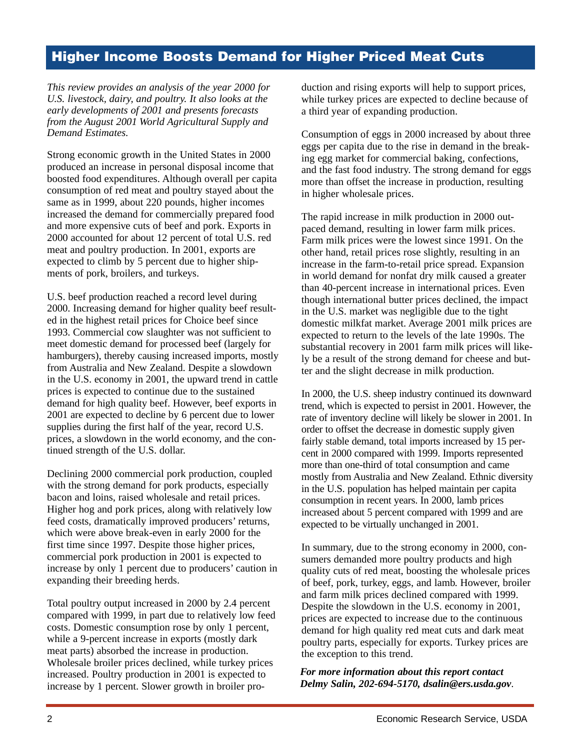# **Higher Income Boosts Demand for Higher Priced Meat Cuts**

*This review provides an analysis of the year 2000 for U.S. livestock, dairy, and poultry. It also looks at the early developments of 2001 and presents forecasts from the August 2001 World Agricultural Supply and Demand Estimates.*

Strong economic growth in the United States in 2000 produced an increase in personal disposal income that boosted food expenditures. Although overall per capita consumption of red meat and poultry stayed about the same as in 1999, about 220 pounds, higher incomes increased the demand for commercially prepared food and more expensive cuts of beef and pork. Exports in 2000 accounted for about 12 percent of total U.S. red meat and poultry production. In 2001, exports are expected to climb by 5 percent due to higher shipments of pork, broilers, and turkeys.

U.S. beef production reached a record level during 2000. Increasing demand for higher quality beef resulted in the highest retail prices for Choice beef since 1993. Commercial cow slaughter was not sufficient to meet domestic demand for processed beef (largely for hamburgers), thereby causing increased imports, mostly from Australia and New Zealand. Despite a slowdown in the U.S. economy in 2001, the upward trend in cattle prices is expected to continue due to the sustained demand for high quality beef. However, beef exports in 2001 are expected to decline by 6 percent due to lower supplies during the first half of the year, record U.S. prices, a slowdown in the world economy, and the continued strength of the U.S. dollar.

Declining 2000 commercial pork production, coupled with the strong demand for pork products, especially bacon and loins, raised wholesale and retail prices. Higher hog and pork prices, along with relatively low feed costs, dramatically improved producers' returns, which were above break-even in early 2000 for the first time since 1997. Despite those higher prices, commercial pork production in 2001 is expected to increase by only 1 percent due to producers' caution in expanding their breeding herds.

Total poultry output increased in 2000 by 2.4 percent compared with 1999, in part due to relatively low feed costs. Domestic consumption rose by only 1 percent, while a 9-percent increase in exports (mostly dark meat parts) absorbed the increase in production. Wholesale broiler prices declined, while turkey prices increased. Poultry production in 2001 is expected to increase by 1 percent. Slower growth in broiler production and rising exports will help to support prices, while turkey prices are expected to decline because of a third year of expanding production.

Consumption of eggs in 2000 increased by about three eggs per capita due to the rise in demand in the breaking egg market for commercial baking, confections, and the fast food industry. The strong demand for eggs more than offset the increase in production, resulting in higher wholesale prices.

The rapid increase in milk production in 2000 outpaced demand, resulting in lower farm milk prices. Farm milk prices were the lowest since 1991. On the other hand, retail prices rose slightly, resulting in an increase in the farm-to-retail price spread. Expansion in world demand for nonfat dry milk caused a greater than 40-percent increase in international prices. Even though international butter prices declined, the impact in the U.S. market was negligible due to the tight domestic milkfat market. Average 2001 milk prices are expected to return to the levels of the late 1990s. The substantial recovery in 2001 farm milk prices will likely be a result of the strong demand for cheese and butter and the slight decrease in milk production.

In 2000, the U.S. sheep industry continued its downward trend, which is expected to persist in 2001. However, the rate of inventory decline will likely be slower in 2001. In order to offset the decrease in domestic supply given fairly stable demand, total imports increased by 15 percent in 2000 compared with 1999. Imports represented more than one-third of total consumption and came mostly from Australia and New Zealand. Ethnic diversity in the U.S. population has helped maintain per capita consumption in recent years. In 2000, lamb prices increased about 5 percent compared with 1999 and are expected to be virtually unchanged in 2001.

In summary, due to the strong economy in 2000, consumers demanded more poultry products and high quality cuts of red meat, boosting the wholesale prices of beef, pork, turkey, eggs, and lamb. However, broiler and farm milk prices declined compared with 1999. Despite the slowdown in the U.S. economy in 2001, prices are expected to increase due to the continuous demand for high quality red meat cuts and dark meat poultry parts, especially for exports. Turkey prices are the exception to this trend.

*For more information about this report contact Delmy Salin, 202-694-5170, dsalin@ers.usda.gov*.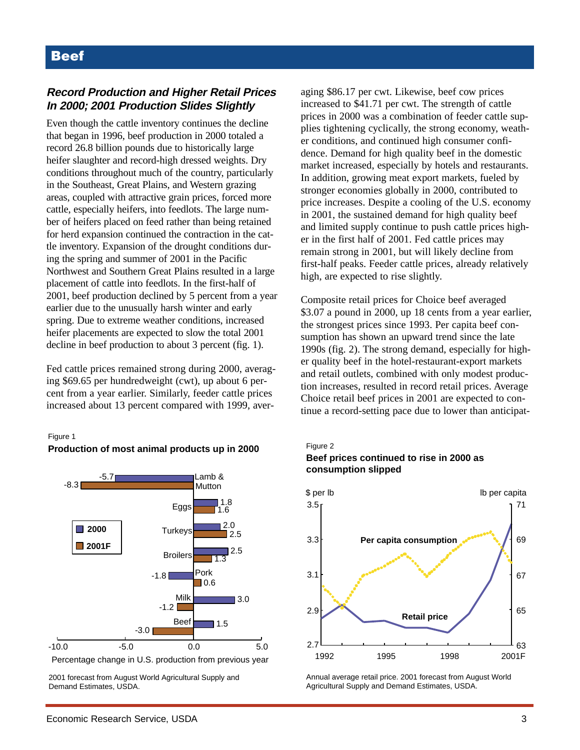### **Record Production and Higher Retail Prices In 2000; 2001 Production Slides Slightly**

Even though the cattle inventory continues the decline that began in 1996, beef production in 2000 totaled a record 26.8 billion pounds due to historically large heifer slaughter and record-high dressed weights. Dry conditions throughout much of the country, particularly in the Southeast, Great Plains, and Western grazing areas, coupled with attractive grain prices, forced more cattle, especially heifers, into feedlots. The large number of heifers placed on feed rather than being retained for herd expansion continued the contraction in the cattle inventory. Expansion of the drought conditions during the spring and summer of 2001 in the Pacific Northwest and Southern Great Plains resulted in a large placement of cattle into feedlots. In the first-half of 2001, beef production declined by 5 percent from a year earlier due to the unusually harsh winter and early spring. Due to extreme weather conditions, increased heifer placements are expected to slow the total 2001 decline in beef production to about 3 percent (fig. 1).

Fed cattle prices remained strong during 2000, averaging \$69.65 per hundredweight (cwt), up about 6 percent from a year earlier. Similarly, feeder cattle prices increased about 13 percent compared with 1999, aver-

#### Figure 1





2001 forecast from August World Agricultural Supply and Demand Estimates, USDA.

aging \$86.17 per cwt. Likewise, beef cow prices increased to \$41.71 per cwt. The strength of cattle prices in 2000 was a combination of feeder cattle supplies tightening cyclically, the strong economy, weather conditions, and continued high consumer confidence. Demand for high quality beef in the domestic market increased, especially by hotels and restaurants. In addition, growing meat export markets, fueled by stronger economies globally in 2000, contributed to price increases. Despite a cooling of the U.S. economy in 2001, the sustained demand for high quality beef and limited supply continue to push cattle prices higher in the first half of 2001. Fed cattle prices may remain strong in 2001, but will likely decline from first-half peaks. Feeder cattle prices, already relatively high, are expected to rise slightly.

Composite retail prices for Choice beef averaged \$3.07 a pound in 2000, up 18 cents from a year earlier, the strongest prices since 1993. Per capita beef consumption has shown an upward trend since the late 1990s (fig. 2). The strong demand, especially for higher quality beef in the hotel-restaurant-export markets and retail outlets, combined with only modest production increases, resulted in record retail prices. Average Choice retail beef prices in 2001 are expected to continue a record-setting pace due to lower than anticipat-

#### Figure 2 **Beef prices continued to rise in 2000 as consumption slipped**



Annual average retail price. 2001 forecast from August World Agricultural Supply and Demand Estimates, USDA.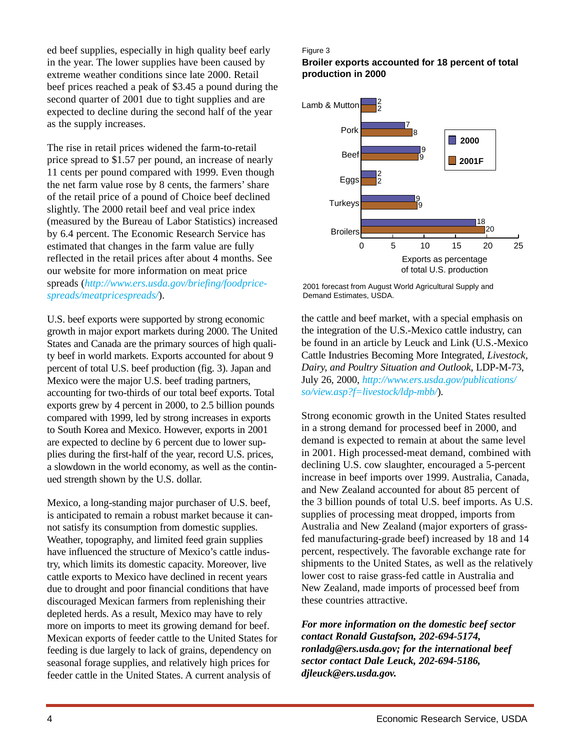ed beef supplies, especially in high quality beef early in the year. The lower supplies have been caused by extreme weather conditions since late 2000. Retail beef prices reached a peak of \$3.45 a pound during the second quarter of 2001 due to tight supplies and are expected to decline during the second half of the year as the supply increases.

The rise in retail prices widened the farm-to-retail price spread to \$1.57 per pound, an increase of nearly 11 cents per pound compared with 1999. Even though the net farm value rose by 8 cents, the farmers' share of the retail price of a pound of Choice beef declined slightly. The 2000 retail beef and veal price index (measured by the Bureau of Labor Statistics) increased by 6.4 percent. The Economic Research Service has estimated that changes in the farm value are fully reflected in the retail prices after about 4 months. See our website for more information on meat price spreads (*[http://www.ers.usda.gov/briefing/foodprice](http://www.ers.usda.gov/briefing/foodpricespreads/meatpricespreads/)[spreads/meatpricespreads/](http://www.ers.usda.gov/briefing/foodpricespreads/meatpricespreads/)*).

U.S. beef exports were supported by strong economic growth in major export markets during 2000. The United States and Canada are the primary sources of high quality beef in world markets. Exports accounted for about 9 percent of total U.S. beef production (fig. 3). Japan and Mexico were the major U.S. beef trading partners, accounting for two-thirds of our total beef exports. Total exports grew by 4 percent in 2000, to 2.5 billion pounds compared with 1999, led by strong increases in exports to South Korea and Mexico. However, exports in 2001 are expected to decline by 6 percent due to lower supplies during the first-half of the year, record U.S. prices, a slowdown in the world economy, as well as the continued strength shown by the U.S. dollar.

Mexico, a long-standing major purchaser of U.S. beef, is anticipated to remain a robust market because it cannot satisfy its consumption from domestic supplies. Weather, topography, and limited feed grain supplies have influenced the structure of Mexico's cattle industry, which limits its domestic capacity. Moreover, live cattle exports to Mexico have declined in recent years due to drought and poor financial conditions that have discouraged Mexican farmers from replenishing their depleted herds. As a result, Mexico may have to rely more on imports to meet its growing demand for beef. Mexican exports of feeder cattle to the United States for feeding is due largely to lack of grains, dependency on seasonal forage supplies, and relatively high prices for feeder cattle in the United States. A current analysis of

#### Figure 3

**Broiler exports accounted for 18 percent of total production in 2000**



2001 forecast from August World Agricultural Supply and Demand Estimates, USDA.

the cattle and beef market, with a special emphasis on the integration of the U.S.-Mexico cattle industry, can be found in an article by Leuck and Link (U.S.-Mexico Cattle Industries Becoming More Integrated, *Livestock, Dairy, and Poultry Situation and Outlook*, LDP-M-73, July 26, 2000, *[http://www.ers.usda.gov/publications/](http://www.ers.usda.gov/publications/so/view.asp?f=livestock/ldp-mbb/) [so/view.asp?f=livestock/ldp-mbb/](http://www.ers.usda.gov/publications/so/view.asp?f=livestock/ldp-mbb/)*).

Strong economic growth in the United States resulted in a strong demand for processed beef in 2000, and demand is expected to remain at about the same level in 2001. High processed-meat demand, combined with declining U.S. cow slaughter, encouraged a 5-percent increase in beef imports over 1999. Australia, Canada, and New Zealand accounted for about 85 percent of the 3 billion pounds of total U.S. beef imports. As U.S. supplies of processing meat dropped, imports from Australia and New Zealand (major exporters of grassfed manufacturing-grade beef) increased by 18 and 14 percent, respectively. The favorable exchange rate for shipments to the United States, as well as the relatively lower cost to raise grass-fed cattle in Australia and New Zealand, made imports of processed beef from these countries attractive.

*For more information on the domestic beef sector contact Ronald Gustafson, 202-694-5174, ronladg@ers.usda.gov; for the international beef sector contact Dale Leuck, 202-694-5186, djleuck@ers.usda.gov.*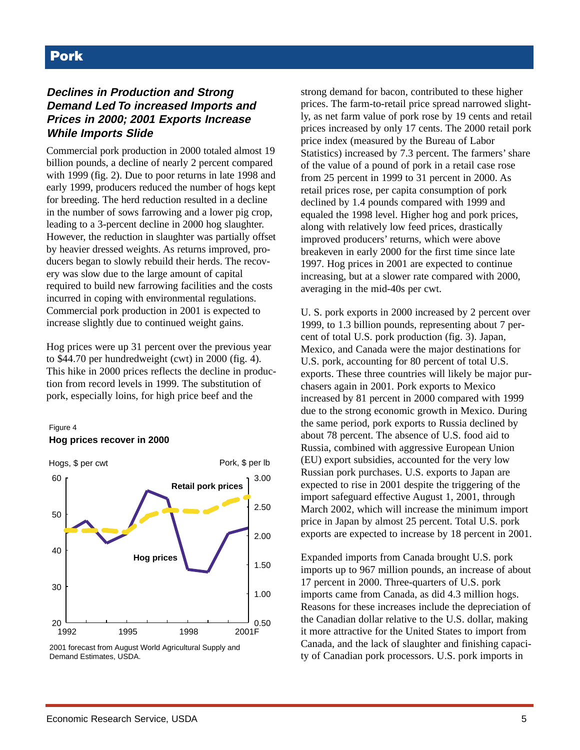### **Declines in Production and Strong Demand Led To increased Imports and Prices in 2000; 2001 Exports Increase While Imports Slide**

Commercial pork production in 2000 totaled almost 19 billion pounds, a decline of nearly 2 percent compared with 1999 (fig. 2). Due to poor returns in late 1998 and early 1999, producers reduced the number of hogs kept for breeding. The herd reduction resulted in a decline in the number of sows farrowing and a lower pig crop, leading to a 3-percent decline in 2000 hog slaughter. However, the reduction in slaughter was partially offset by heavier dressed weights. As returns improved, producers began to slowly rebuild their herds. The recovery was slow due to the large amount of capital required to build new farrowing facilities and the costs incurred in coping with environmental regulations. Commercial pork production in 2001 is expected to increase slightly due to continued weight gains.

Hog prices were up 31 percent over the previous year to \$44.70 per hundredweight (cwt) in 2000 (fig. 4). This hike in 2000 prices reflects the decline in production from record levels in 1999. The substitution of pork, especially loins, for high price beef and the

#### Figure 4 **Hog prices recover in 2000**



2001 forecast from August World Agricultural Supply and Demand Estimates, USDA.

strong demand for bacon, contributed to these higher prices. The farm-to-retail price spread narrowed slightly, as net farm value of pork rose by 19 cents and retail prices increased by only 17 cents. The 2000 retail pork price index (measured by the Bureau of Labor Statistics) increased by 7.3 percent. The farmers' share of the value of a pound of pork in a retail case rose from 25 percent in 1999 to 31 percent in 2000. As retail prices rose, per capita consumption of pork declined by 1.4 pounds compared with 1999 and equaled the 1998 level. Higher hog and pork prices, along with relatively low feed prices, drastically improved producers' returns, which were above breakeven in early 2000 for the first time since late 1997. Hog prices in 2001 are expected to continue increasing, but at a slower rate compared with 2000, averaging in the mid-40s per cwt.

U. S. pork exports in 2000 increased by 2 percent over 1999, to 1.3 billion pounds, representing about 7 percent of total U.S. pork production (fig. 3). Japan, Mexico, and Canada were the major destinations for U.S. pork, accounting for 80 percent of total U.S. exports. These three countries will likely be major purchasers again in 2001. Pork exports to Mexico increased by 81 percent in 2000 compared with 1999 due to the strong economic growth in Mexico. During the same period, pork exports to Russia declined by about 78 percent. The absence of U.S. food aid to Russia, combined with aggressive European Union (EU) export subsidies, accounted for the very low Russian pork purchases. U.S. exports to Japan are expected to rise in 2001 despite the triggering of the import safeguard effective August 1, 2001, through March 2002, which will increase the minimum import price in Japan by almost 25 percent. Total U.S. pork exports are expected to increase by 18 percent in 2001.

Expanded imports from Canada brought U.S. pork imports up to 967 million pounds, an increase of about 17 percent in 2000. Three-quarters of U.S. pork imports came from Canada, as did 4.3 million hogs. Reasons for these increases include the depreciation of the Canadian dollar relative to the U.S. dollar, making it more attractive for the United States to import from Canada, and the lack of slaughter and finishing capacity of Canadian pork processors. U.S. pork imports in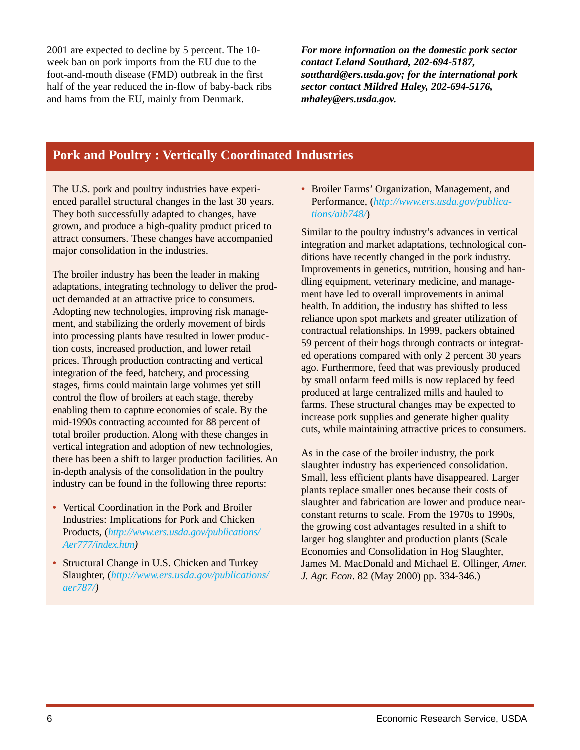2001 are expected to decline by 5 percent. The 10 week ban on pork imports from the EU due to the foot-and-mouth disease (FMD) outbreak in the first half of the year reduced the in-flow of baby-back ribs and hams from the EU, mainly from Denmark.

*For more information on the domestic pork sector contact Leland Southard, 202-694-5187, southard@ers.usda.gov; for the international pork sector contact Mildred Haley, 202-694-5176, mhaley@ers.usda.gov.*

# **Pork and Poultry : Vertically Coordinated Industries**

The U.S. pork and poultry industries have experienced parallel structural changes in the last 30 years. They both successfully adapted to changes, have grown, and produce a high-quality product priced to attract consumers. These changes have accompanied major consolidation in the industries.

The broiler industry has been the leader in making adaptations, integrating technology to deliver the product demanded at an attractive price to consumers. Adopting new technologies, improving risk management, and stabilizing the orderly movement of birds into processing plants have resulted in lower production costs, increased production, and lower retail prices. Through production contracting and vertical integration of the feed, hatchery, and processing stages, firms could maintain large volumes yet still control the flow of broilers at each stage, thereby enabling them to capture economies of scale. By the mid-1990s contracting accounted for 88 percent of total broiler production. Along with these changes in vertical integration and adoption of new technologies, there has been a shift to larger production facilities. An in-depth analysis of the consolidation in the poultry industry can be found in the following three reports:

- Vertical Coordination in the Pork and Broiler Industries: Implications for Pork and Chicken Products, (*[http://www.ers.usda.gov/publications/](http://www.ers.usda.gov/publications/Aer777/index.htm) [Aer777/index.htm](http://www.ers.usda.gov/publications/Aer777/index.htm))*
- Structural Change in U.S. Chicken and Turkey Slaughter, (*[http://www.ers.usda.gov/publications/](http://www.ers.usda.gov/publications/aer787/) [aer787/\)](http://www.ers.usda.gov/publications/aer787/)*

*•* Broiler Farms' Organization, Management, and Performance, (*[http://www.ers.usda.gov/publica](http://www.ers.usda.gov/publications/aib748/)[tions/aib748/](http://www.ers.usda.gov/publications/aib748/)*)

Similar to the poultry industry's advances in vertical integration and market adaptations, technological conditions have recently changed in the pork industry. Improvements in genetics, nutrition, housing and handling equipment, veterinary medicine, and management have led to overall improvements in animal health. In addition, the industry has shifted to less reliance upon spot markets and greater utilization of contractual relationships. In 1999, packers obtained 59 percent of their hogs through contracts or integrated operations compared with only 2 percent 30 years ago. Furthermore, feed that was previously produced by small onfarm feed mills is now replaced by feed produced at large centralized mills and hauled to farms. These structural changes may be expected to increase pork supplies and generate higher quality cuts, while maintaining attractive prices to consumers.

As in the case of the broiler industry, the pork slaughter industry has experienced consolidation. Small, less efficient plants have disappeared. Larger plants replace smaller ones because their costs of slaughter and fabrication are lower and produce nearconstant returns to scale. From the 1970s to 1990s, the growing cost advantages resulted in a shift to larger hog slaughter and production plants (Scale Economies and Consolidation in Hog Slaughter, James M. MacDonald and Michael E. Ollinger, *Amer. J. Agr. Econ*. 82 (May 2000) pp. 334-346.)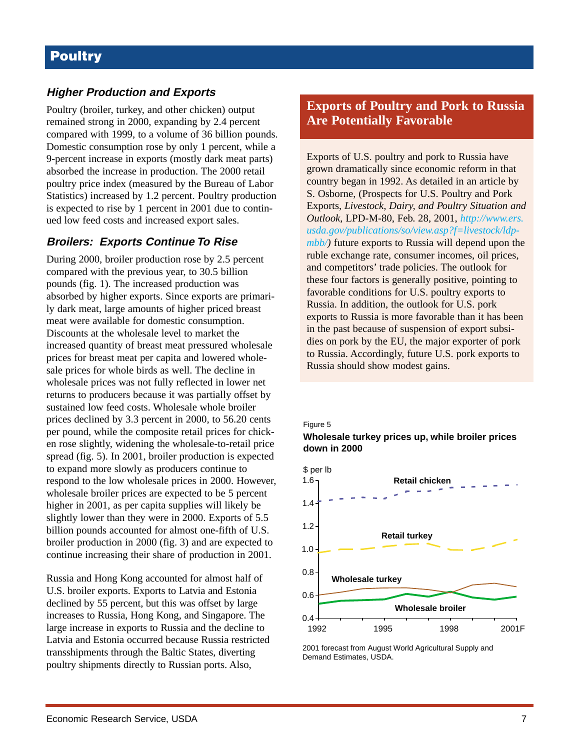### **Higher Production and Exports**

Poultry (broiler, turkey, and other chicken) output remained strong in 2000, expanding by 2.4 percent compared with 1999, to a volume of 36 billion pounds. Domestic consumption rose by only 1 percent, while a 9-percent increase in exports (mostly dark meat parts) absorbed the increase in production. The 2000 retail poultry price index (measured by the Bureau of Labor Statistics) increased by 1.2 percent. Poultry production is expected to rise by 1 percent in 2001 due to continued low feed costs and increased export sales.

### **Broilers: Exports Continue To Rise**

During 2000, broiler production rose by 2.5 percent compared with the previous year, to 30.5 billion pounds (fig. 1). The increased production was absorbed by higher exports. Since exports are primarily dark meat, large amounts of higher priced breast meat were available for domestic consumption. Discounts at the wholesale level to market the increased quantity of breast meat pressured wholesale prices for breast meat per capita and lowered wholesale prices for whole birds as well. The decline in wholesale prices was not fully reflected in lower net returns to producers because it was partially offset by sustained low feed costs. Wholesale whole broiler prices declined by 3.3 percent in 2000, to 56.20 cents per pound, while the composite retail prices for chicken rose slightly, widening the wholesale-to-retail price spread (fig. 5). In 2001, broiler production is expected to expand more slowly as producers continue to respond to the low wholesale prices in 2000. However, wholesale broiler prices are expected to be 5 percent higher in 2001, as per capita supplies will likely be slightly lower than they were in 2000. Exports of 5.5 billion pounds accounted for almost one-fifth of U.S. broiler production in 2000 (fig. 3) and are expected to continue increasing their share of production in 2001.

Russia and Hong Kong accounted for almost half of U.S. broiler exports. Exports to Latvia and Estonia declined by 55 percent, but this was offset by large increases to Russia, Hong Kong, and Singapore. The large increase in exports to Russia and the decline to Latvia and Estonia occurred because Russia restricted transshipments through the Baltic States, diverting poultry shipments directly to Russian ports. Also,

**Exports of Poultry and Pork to Russia Are Potentially Favorable**

Exports of U.S. poultry and pork to Russia have grown dramatically since economic reform in that country began in 1992. As detailed in an article by S. Osborne, (Prospects for U.S. Poultry and Pork Exports, *Livestock, Dairy, and Poultry Situation and Outlook*, LPD-M-80, Feb. 28, 2001, *[http://www.ers.](http://www.ers.usda.gov/publications/so/view.asp?f=livestock/ldp-mbb/) [usda.gov/publications/so/view.asp?f=livestock/ldp](http://www.ers.usda.gov/publications/so/view.asp?f=livestock/ldp-mbb/)[mbb/\)](http://www.ers.usda.gov/publications/so/view.asp?f=livestock/ldp-mbb/)* future exports to Russia will depend upon the ruble exchange rate, consumer incomes, oil prices, and competitors' trade policies. The outlook for these four factors is generally positive, pointing to favorable conditions for U.S. poultry exports to Russia. In addition, the outlook for U.S. pork exports to Russia is more favorable than it has been in the past because of suspension of export subsidies on pork by the EU, the major exporter of pork to Russia. Accordingly, future U.S. pork exports to Russia should show modest gains.

#### Figure 5

**Wholesale turkey prices up, while broiler prices down in 2000**



2001 forecast from August World Agricultural Supply and Demand Estimates, USDA.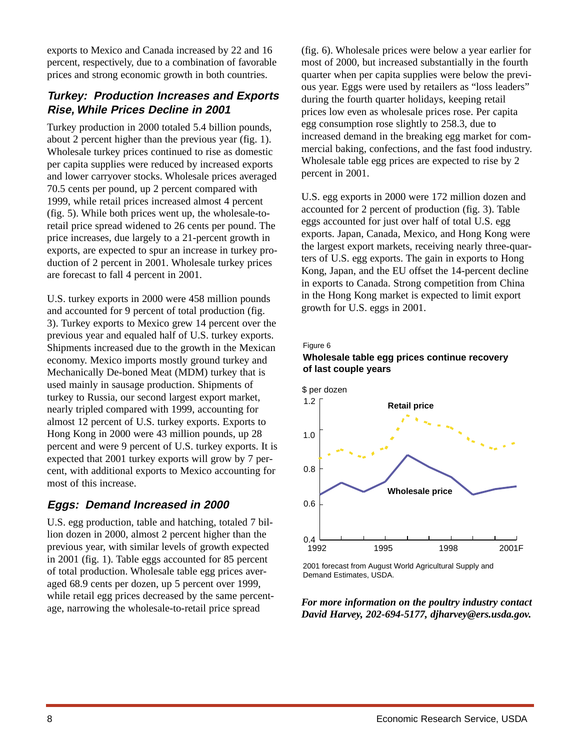exports to Mexico and Canada increased by 22 and 16 percent, respectively, due to a combination of favorable prices and strong economic growth in both countries.

### **Turkey: Production Increases and Exports Rise, While Prices Decline in 2001**

Turkey production in 2000 totaled 5.4 billion pounds, about 2 percent higher than the previous year (fig. 1). Wholesale turkey prices continued to rise as domestic per capita supplies were reduced by increased exports and lower carryover stocks. Wholesale prices averaged 70.5 cents per pound, up 2 percent compared with 1999, while retail prices increased almost 4 percent (fig. 5). While both prices went up, the wholesale-toretail price spread widened to 26 cents per pound. The price increases, due largely to a 21-percent growth in exports, are expected to spur an increase in turkey production of 2 percent in 2001. Wholesale turkey prices are forecast to fall 4 percent in 2001.

U.S. turkey exports in 2000 were 458 million pounds and accounted for 9 percent of total production (fig. 3). Turkey exports to Mexico grew 14 percent over the previous year and equaled half of U.S. turkey exports. Shipments increased due to the growth in the Mexican economy. Mexico imports mostly ground turkey and Mechanically De-boned Meat (MDM) turkey that is used mainly in sausage production. Shipments of turkey to Russia, our second largest export market, nearly tripled compared with 1999, accounting for almost 12 percent of U.S. turkey exports. Exports to Hong Kong in 2000 were 43 million pounds, up 28 percent and were 9 percent of U.S. turkey exports. It is expected that 2001 turkey exports will grow by 7 percent, with additional exports to Mexico accounting for most of this increase.

### **Eggs: Demand Increased in 2000**

U.S. egg production, table and hatching, totaled 7 billion dozen in 2000, almost 2 percent higher than the previous year, with similar levels of growth expected in 2001 (fig. 1). Table eggs accounted for 85 percent of total production. Wholesale table egg prices averaged 68.9 cents per dozen, up 5 percent over 1999, while retail egg prices decreased by the same percentage, narrowing the wholesale-to-retail price spread

(fig. 6). Wholesale prices were below a year earlier for most of 2000, but increased substantially in the fourth quarter when per capita supplies were below the previous year. Eggs were used by retailers as "loss leaders" during the fourth quarter holidays, keeping retail prices low even as wholesale prices rose. Per capita egg consumption rose slightly to 258.3, due to increased demand in the breaking egg market for commercial baking, confections, and the fast food industry. Wholesale table egg prices are expected to rise by 2 percent in 2001.

U.S. egg exports in 2000 were 172 million dozen and accounted for 2 percent of production (fig. 3). Table eggs accounted for just over half of total U.S. egg exports. Japan, Canada, Mexico, and Hong Kong were the largest export markets, receiving nearly three-quarters of U.S. egg exports. The gain in exports to Hong Kong, Japan, and the EU offset the 14-percent decline in exports to Canada. Strong competition from China in the Hong Kong market is expected to limit export growth for U.S. eggs in 2001.

#### Figure 6

#### **Wholesale table egg prices continue recovery of last couple years**



<sup>2001</sup> forecast from August World Agricultural Supply and Demand Estimates, USDA.

*For more information on the poultry industry contact David Harvey, 202-694-5177, djharvey@ers.usda.gov.*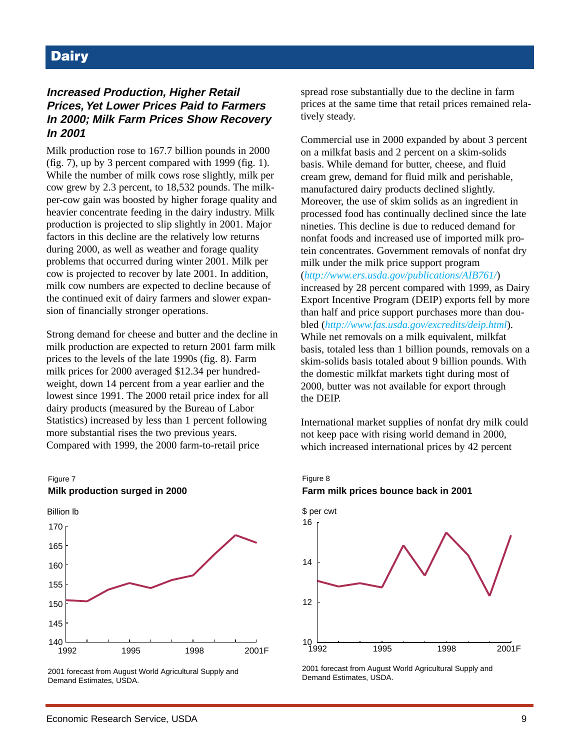# **Dairy**

### **Increased Production, Higher Retail Prices, Yet Lower Prices Paid to Farmers In 2000; Milk Farm Prices Show Recovery In 2001**

Milk production rose to 167.7 billion pounds in 2000 (fig. 7), up by 3 percent compared with 1999 (fig. 1). While the number of milk cows rose slightly, milk per cow grew by 2.3 percent, to 18,532 pounds. The milkper-cow gain was boosted by higher forage quality and heavier concentrate feeding in the dairy industry. Milk production is projected to slip slightly in 2001. Major factors in this decline are the relatively low returns during 2000, as well as weather and forage quality problems that occurred during winter 2001. Milk per cow is projected to recover by late 2001. In addition, milk cow numbers are expected to decline because of the continued exit of dairy farmers and slower expansion of financially stronger operations.

Strong demand for cheese and butter and the decline in milk production are expected to return 2001 farm milk prices to the levels of the late 1990s (fig. 8). Farm milk prices for 2000 averaged \$12.34 per hundredweight, down 14 percent from a year earlier and the lowest since 1991. The 2000 retail price index for all dairy products (measured by the Bureau of Labor Statistics) increased by less than 1 percent following more substantial rises the two previous years. Compared with 1999, the 2000 farm-to-retail price



**Milk production surged in 2000**

Figure 7

2001 forecast from August World Agricultural Supply and Demand Estimates, USDA.

spread rose substantially due to the decline in farm prices at the same time that retail prices remained relatively steady.

Commercial use in 2000 expanded by about 3 percent on a milkfat basis and 2 percent on a skim-solids basis. While demand for butter, cheese, and fluid cream grew, demand for fluid milk and perishable, manufactured dairy products declined slightly. Moreover, the use of skim solids as an ingredient in processed food has continually declined since the late nineties. This decline is due to reduced demand for nonfat foods and increased use of imported milk protein concentrates. Government removals of nonfat dry milk under the milk price support program (*<http://www.ers.usda.gov/publications/AIB761/>*) increased by 28 percent compared with 1999, as Dairy Export Incentive Program (DEIP) exports fell by more than half and price support purchases more than doubled (*<http://www.fas.usda.gov/excredits/deip.html>*). While net removals on a milk equivalent, milkfat basis, totaled less than 1 billion pounds, removals on a skim-solids basis totaled about 9 billion pounds. With the domestic milkfat markets tight during most of 2000, butter was not available for export through the DEIP.

International market supplies of nonfat dry milk could not keep pace with rising world demand in 2000, which increased international prices by 42 percent

### Figure 8 **Farm milk prices bounce back in 2001**



2001 forecast from August World Agricultural Supply and Demand Estimates, USDA.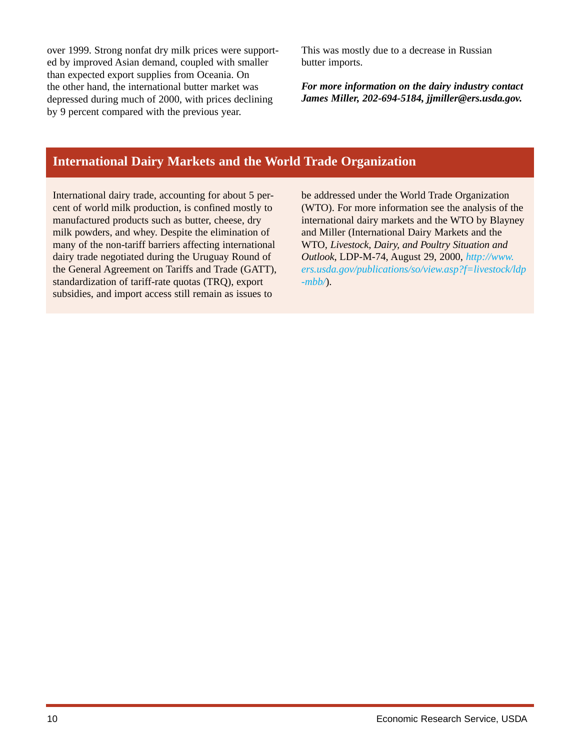over 1999. Strong nonfat dry milk prices were supported by improved Asian demand, coupled with smaller than expected export supplies from Oceania. On the other hand, the international butter market was depressed during much of 2000, with prices declining by 9 percent compared with the previous year.

This was mostly due to a decrease in Russian butter imports.

*For more information on the dairy industry contact James Miller, 202-694-5184, jjmiller@ers.usda.gov.*

# **International Dairy Markets and the World Trade Organization**

International dairy trade, accounting for about 5 percent of world milk production, is confined mostly to manufactured products such as butter, cheese, dry milk powders, and whey. Despite the elimination of many of the non-tariff barriers affecting international dairy trade negotiated during the Uruguay Round of the General Agreement on Tariffs and Trade (GATT), standardization of tariff-rate quotas (TRQ), export subsidies, and import access still remain as issues to

be addressed under the World Trade Organization (WTO). For more information see the analysis of the international dairy markets and the WTO by Blayney and Miller (International Dairy Markets and the WTO, *Livestock, Dairy, and Poultry Situation and Outlook*, LDP-M-74, August 29, 2000, *[http://www.](http://www.ers.usda.gov/publications/so/view.asp?f=livestock/ldp-mbb/) [ers.usda.gov/publications/so/view.asp?f=livestock/ldp](http://www.ers.usda.gov/publications/so/view.asp?f=livestock/ldp-mbb/) [-mbb/](http://www.ers.usda.gov/publications/so/view.asp?f=livestock/ldp-mbb/)*).